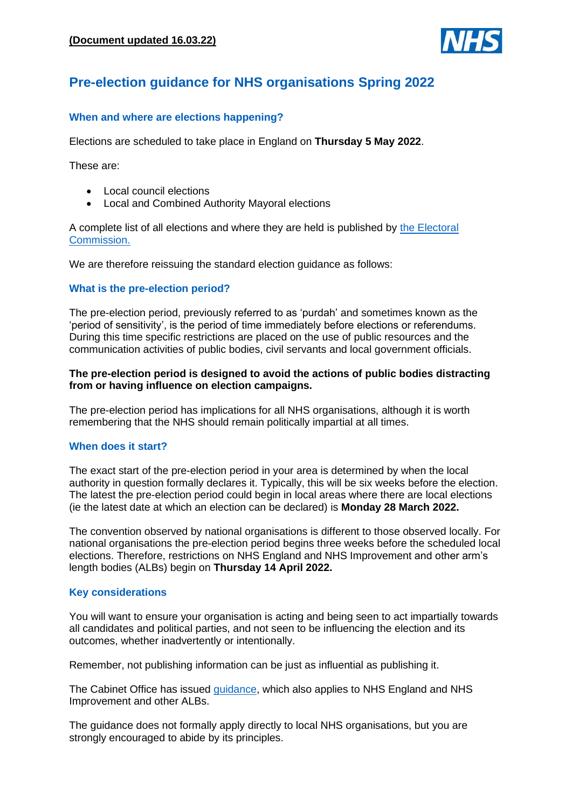

# **Pre-election guidance for NHS organisations Spring 2022**

# **When and where are elections happening?**

Elections are scheduled to take place in England on **Thursday 5 May 2022**.

These are:

- Local council elections
- Local and Combined Authority Mayoral elections

A complete list of all elections and where they are held is published by [the Electoral](https://www.electoralcommission.org.uk/who-we-are-and-what-we-do/elections-and-referendums/upcoming-elections)  [Commission.](https://www.electoralcommission.org.uk/who-we-are-and-what-we-do/elections-and-referendums/upcoming-elections)

We are therefore reissuing the standard election guidance as follows:

## **What is the pre-election period?**

The pre-election period, previously referred to as 'purdah' and sometimes known as the 'period of sensitivity', is the period of time immediately before elections or referendums. During this time specific restrictions are placed on the use of public resources and the communication activities of public bodies, civil servants and local government officials.

## **The pre-election period is designed to avoid the actions of public bodies distracting from or having influence on election campaigns.**

The pre-election period has implications for all NHS organisations, although it is worth remembering that the NHS should remain politically impartial at all times.

#### **When does it start?**

The exact start of the pre-election period in your area is determined by when the local authority in question formally declares it. Typically, this will be six weeks before the election. The latest the pre-election period could begin in local areas where there are local elections (ie the latest date at which an election can be declared) is **Monday 28 March 2022.** 

The convention observed by national organisations is different to those observed locally. For national organisations the pre-election period begins three weeks before the scheduled local elections. Therefore, restrictions on NHS England and NHS Improvement and other arm's length bodies (ALBs) begin on **Thursday 14 April 2022.**

#### **Key considerations**

You will want to ensure your organisation is acting and being seen to act impartially towards all candidates and political parties, and not seen to be influencing the election and its outcomes, whether inadvertently or intentionally.

Remember, not publishing information can be just as influential as publishing it.

The Cabinet Office has issued [guidance,](https://www.gov.uk/government/publications/election-guidance-for-civil-servants/may-2022-elections-guidance-on-conduct-for-civil-servants-html) which also applies to NHS England and NHS Improvement and other ALBs.

The guidance does not formally apply directly to local NHS organisations, but you are strongly encouraged to abide by its principles.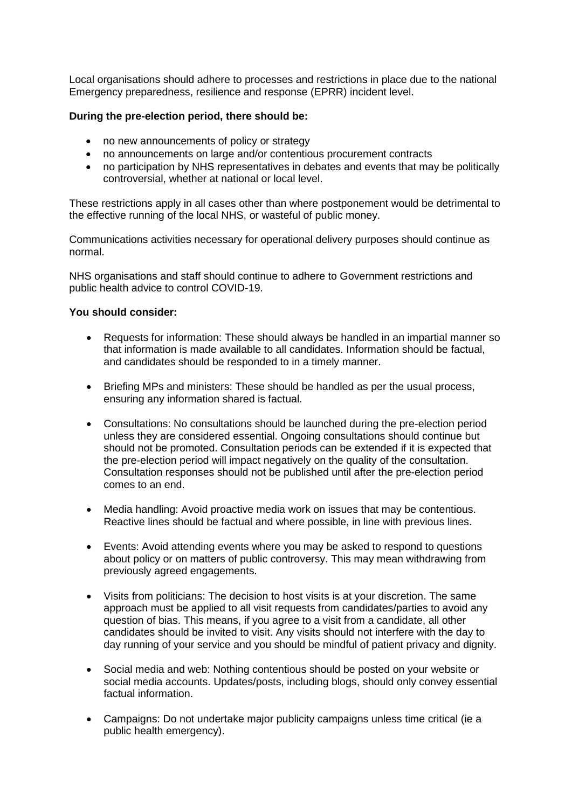Local organisations should adhere to processes and restrictions in place due to the national Emergency preparedness, resilience and response (EPRR) incident level.

# **During the pre-election period, there should be:**

- no new announcements of policy or strategy
- no announcements on large and/or contentious procurement contracts
- no participation by NHS representatives in debates and events that may be politically controversial, whether at national or local level.

These restrictions apply in all cases other than where postponement would be detrimental to the effective running of the local NHS, or wasteful of public money.

Communications activities necessary for operational delivery purposes should continue as normal.

NHS organisations and staff should continue to adhere to Government restrictions and public health advice to control COVID-19.

## **You should consider:**

- Requests for information: These should always be handled in an impartial manner so that information is made available to all candidates. Information should be factual, and candidates should be responded to in a timely manner.
- Briefing MPs and ministers: These should be handled as per the usual process, ensuring any information shared is factual.
- Consultations: No consultations should be launched during the pre-election period unless they are considered essential. Ongoing consultations should continue but should not be promoted. Consultation periods can be extended if it is expected that the pre-election period will impact negatively on the quality of the consultation. Consultation responses should not be published until after the pre-election period comes to an end.
- Media handling: Avoid proactive media work on issues that may be contentious. Reactive lines should be factual and where possible, in line with previous lines.
- Events: Avoid attending events where you may be asked to respond to questions about policy or on matters of public controversy. This may mean withdrawing from previously agreed engagements.
- Visits from politicians: The decision to host visits is at your discretion. The same approach must be applied to all visit requests from candidates/parties to avoid any question of bias. This means, if you agree to a visit from a candidate, all other candidates should be invited to visit. Any visits should not interfere with the day to day running of your service and you should be mindful of patient privacy and dignity.
- Social media and web: Nothing contentious should be posted on your website or social media accounts. Updates/posts, including blogs, should only convey essential factual information.
- Campaigns: Do not undertake major publicity campaigns unless time critical (ie a public health emergency).